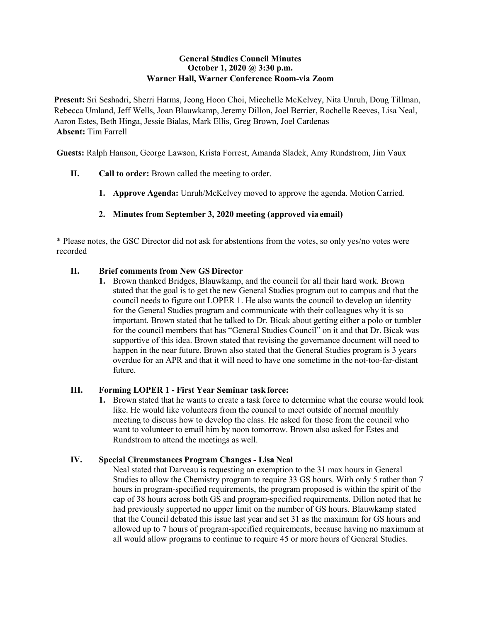## **General Studies Council Minutes October 1, 2020 @ 3:30 p.m. Warner Hall, Warner Conference Room-via Zoom**

**Present:** Sri Seshadri, Sherri Harms, Jeong Hoon Choi, Miechelle McKelvey, Nita Unruh, Doug Tillman, Rebecca Umland, Jeff Wells, Joan Blauwkamp, Jeremy Dillon, Joel Berrier, Rochelle Reeves, Lisa Neal, Aaron Estes, Beth Hinga, Jessie Bialas, Mark Ellis, Greg Brown, Joel Cardenas **Absent:** Tim Farrell

**Guests:** Ralph Hanson, George Lawson, Krista Forrest, Amanda Sladek, Amy Rundstrom, Jim Vaux

- **II. Call to order:** Brown called the meeting to order.
	- **1. Approve Agenda:** Unruh/McKelvey moved to approve the agenda. Motion Carried.

# **2. Minutes from September 3, 2020 meeting (approved via email)**

\* Please notes, the GSC Director did not ask for abstentions from the votes, so only yes/no votes were recorded

# **II. Brief comments from New GS Director**

**1.** Brown thanked Bridges, Blauwkamp, and the council for all their hard work. Brown stated that the goal is to get the new General Studies program out to campus and that the council needs to figure out LOPER 1. He also wants the council to develop an identity for the General Studies program and communicate with their colleagues why it is so important. Brown stated that he talked to Dr. Bicak about getting either a polo or tumbler for the council members that has "General Studies Council" on it and that Dr. Bicak was supportive of this idea. Brown stated that revising the governance document will need to happen in the near future. Brown also stated that the General Studies program is 3 years overdue for an APR and that it will need to have one sometime in the not-too-far-distant future.

## **III. Forming LOPER 1 - First Year Seminar task force:**

**1.** Brown stated that he wants to create a task force to determine what the course would look like. He would like volunteers from the council to meet outside of normal monthly meeting to discuss how to develop the class. He asked for those from the council who want to volunteer to email him by noon tomorrow. Brown also asked for Estes and Rundstrom to attend the meetings as well.

## **IV. Special Circumstances Program Changes - Lisa Neal**

Neal stated that Darveau is requesting an exemption to the 31 max hours in General Studies to allow the Chemistry program to require 33 GS hours. With only 5 rather than 7 hours in program-specified requirements, the program proposed is within the spirit of the cap of 38 hours across both GS and program-specified requirements. Dillon noted that he had previously supported no upper limit on the number of GS hours. Blauwkamp stated that the Council debated this issue last year and set 31 as the maximum for GS hours and allowed up to 7 hours of program-specified requirements, because having no maximum at all would allow programs to continue to require 45 or more hours of General Studies.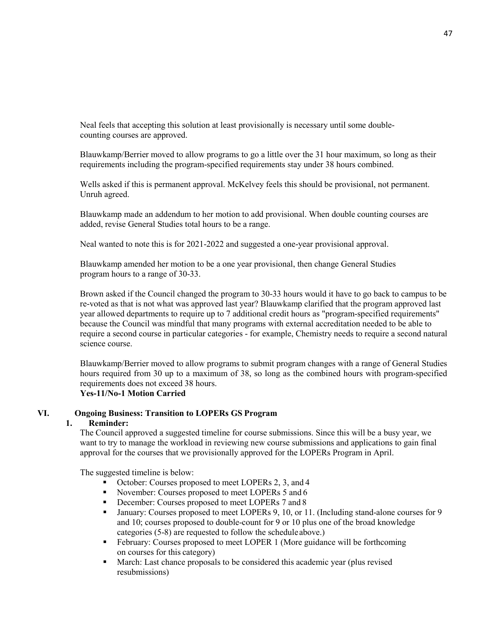Neal feels that accepting this solution at least provisionally is necessary until some doublecounting courses are approved.

Blauwkamp/Berrier moved to allow programs to go a little over the 31 hour maximum, so long as their requirements including the program-specified requirements stay under 38 hours combined.

Wells asked if this is permanent approval. McKelvey feels this should be provisional, not permanent. Unruh agreed.

Blauwkamp made an addendum to her motion to add provisional. When double counting courses are added, revise General Studies total hours to be a range.

Neal wanted to note this is for 2021-2022 and suggested a one-year provisional approval.

Blauwkamp amended her motion to be a one year provisional, then change General Studies program hours to a range of 30-33.

Brown asked if the Council changed the program to 30-33 hours would it have to go back to campus to be re-voted as that is not what was approved last year? Blauwkamp clarified that the program approved last year allowed departments to require up to 7 additional credit hours as "program-specified requirements" because the Council was mindful that many programs with external accreditation needed to be able to require a second course in particular categories - for example, Chemistry needs to require a second natural science course.

Blauwkamp/Berrier moved to allow programs to submit program changes with a range of General Studies hours required from 30 up to a maximum of 38, so long as the combined hours with program-specified requirements does not exceed 38 hours.

# **Yes-11/No-1 Motion Carried**

#### **VI. Ongoing Business: Transition to LOPERs GS Program**

# **1. Reminder:**

The Council approved a suggested timeline for course submissions. Since this will be a busy year, we want to try to manage the workload in reviewing new course submissions and applications to gain final approval for the courses that we provisionally approved for the LOPERs Program in April.

The suggested timeline is below:

- October: Courses proposed to meet LOPERs 2, 3, and 4
- November: Courses proposed to meet LOPERs 5 and 6
- December: Courses proposed to meet LOPERs 7 and 8
- January: Courses proposed to meet LOPERs 9, 10, or 11. (Including stand-alone courses for 9 and 10; courses proposed to double-count for 9 or 10 plus one of the broad knowledge categories (5-8) are requested to follow the schedule above.)
- February: Courses proposed to meet LOPER 1 (More guidance will be forthcoming on courses for this category)
- March: Last chance proposals to be considered this academic year (plus revised resubmissions)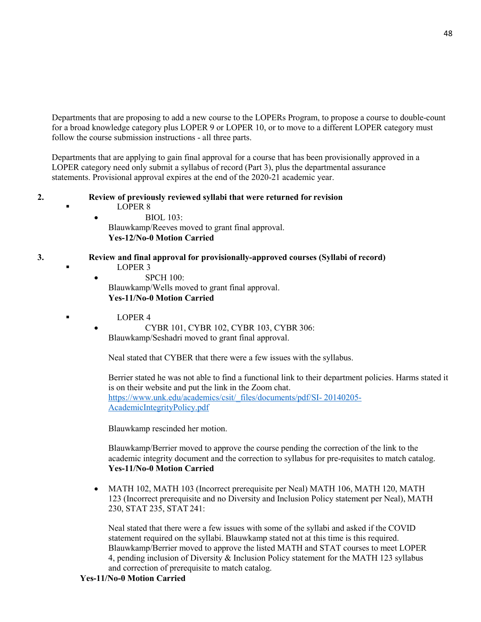Departments that are proposing to add a new course to the LOPERs Program, to propose a course to double-count for a broad knowledge category plus LOPER 9 or LOPER 10, or to move to a different LOPER category must follow the course submission instructions - all three parts.

Departments that are applying to gain final approval for a course that has been provisionally approved in a LOPER category need only submit a syllabus of record (Part 3), plus the departmental assurance statements. Provisional approval expires at the end of the 2020-21 academic year.

# **2. Review of previously reviewed syllabi that were returned for revision**

LOPER 8

• BIOL 103: Blauwkamp/Reeves moved to grant final approval. **Yes-12/No-0 Motion Carried**

# **3. Review and final approval for provisionally-approved courses (Syllabi of record)**

- LOPER 3
- SPCH 100: Blauwkamp/Wells moved to grant final approval. **Yes-11/No-0 Motion Carried**
- $L$  DPER 4

• CYBR 101, CYBR 102, CYBR 103, CYBR 306: Blauwkamp/Seshadri moved to grant final approval.

Neal stated that CYBER that there were a few issues with the syllabus.

Berrier stated he was not able to find a functional link to their department policies. Harms stated it is on their website and put the link in the Zoom chat. [https://www.unk.edu/academics/csit/\\_files/documents/pdf/SI-](https://www.unk.edu/academics/csit/_files/documents/pdf/SI-20140205-AcademicIntegrityPolicy.pdf) [20140205-](https://www.unk.edu/academics/csit/_files/documents/pdf/SI-20140205-AcademicIntegrityPolicy.pdf) [AcademicIntegrityPolicy.pdf](https://www.unk.edu/academics/csit/_files/documents/pdf/SI-20140205-AcademicIntegrityPolicy.pdf)

Blauwkamp rescinded her motion.

Blauwkamp/Berrier moved to approve the course pending the correction of the link to the academic integrity document and the correction to syllabus for pre-requisites to match catalog. **Yes-11/No-0 Motion Carried**

• MATH 102, MATH 103 (Incorrect prerequisite per Neal) MATH 106, MATH 120, MATH 123 (Incorrect prerequisite and no Diversity and Inclusion Policy statement per Neal), MATH 230, STAT 235, STAT 241:

Neal stated that there were a few issues with some of the syllabi and asked if the COVID statement required on the syllabi. Blauwkamp stated not at this time is this required. Blauwkamp/Berrier moved to approve the listed MATH and STAT courses to meet LOPER 4, pending inclusion of Diversity & Inclusion Policy statement for the MATH 123 syllabus and correction of prerequisite to match catalog.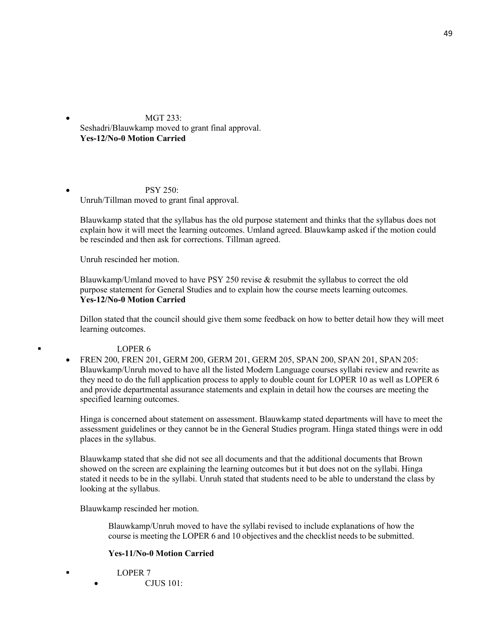• MGT 233: Seshadri/Blauwkamp moved to grant final approval. **Yes-12/No-0 Motion Carried**

 $\bullet$  PSY 250: Unruh/Tillman moved to grant final approval.

Blauwkamp stated that the syllabus has the old purpose statement and thinks that the syllabus does not explain how it will meet the learning outcomes. Umland agreed. Blauwkamp asked if the motion could be rescinded and then ask for corrections. Tillman agreed.

Unruh rescinded her motion.

Blauwkamp/Umland moved to have PSY 250 revise & resubmit the syllabus to correct the old purpose statement for General Studies and to explain how the course meets learning outcomes. **Yes-12/No-0 Motion Carried**

Dillon stated that the council should give them some feedback on how to better detail how they will meet learning outcomes.

#### LOPER 6

• FREN 200, FREN 201, GERM 200, GERM 201, GERM 205, SPAN 200, SPAN 201, SPAN 205: Blauwkamp/Unruh moved to have all the listed Modern Language courses syllabi review and rewrite as they need to do the full application process to apply to double count for LOPER 10 as well as LOPER 6 and provide departmental assurance statements and explain in detail how the courses are meeting the specified learning outcomes.

Hinga is concerned about statement on assessment. Blauwkamp stated departments will have to meet the assessment guidelines or they cannot be in the General Studies program. Hinga stated things were in odd places in the syllabus.

Blauwkamp stated that she did not see all documents and that the additional documents that Brown showed on the screen are explaining the learning outcomes but it but does not on the syllabi. Hinga stated it needs to be in the syllabi. Unruh stated that students need to be able to understand the class by looking at the syllabus.

Blauwkamp rescinded her motion.

Blauwkamp/Unruh moved to have the syllabi revised to include explanations of how the course is meeting the LOPER 6 and 10 objectives and the checklist needs to be submitted.

## **Yes-11/No-0 Motion Carried**

 LOPER 7 • CJUS 101: 49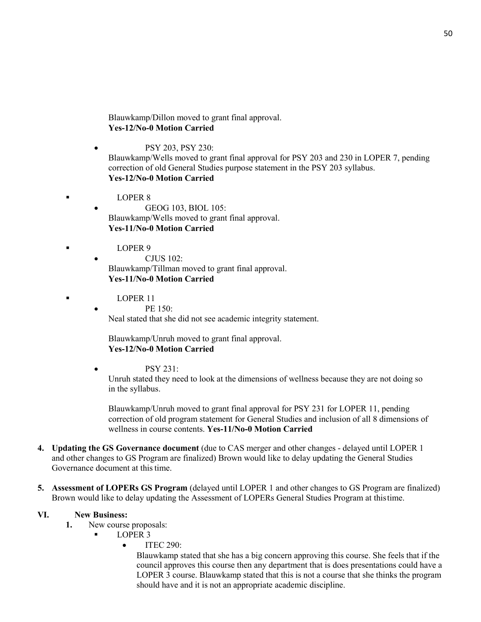Blauwkamp/Dillon moved to grant final approval. **Yes-12/No-0 Motion Carried**

- PSY 203, PSY 230: Blauwkamp/Wells moved to grant final approval for PSY 203 and 230 in LOPER 7, pending correction of old General Studies purpose statement in the PSY 203 syllabus. **Yes-12/No-0 Motion Carried**
- **LOPER 8** 
	- GEOG 103, BIOL 105: Blauwkamp/Wells moved to grant final approval. **Yes-11/No-0 Motion Carried**
- $L$  DPER 9
	- CJUS 102: Blauwkamp/Tillman moved to grant final approval. **Yes-11/No-0 Motion Carried**
- **LOPER 11** 
	- PE 150:

Neal stated that she did not see academic integrity statement.

Blauwkamp/Unruh moved to grant final approval. **Yes-12/No-0 Motion Carried**

• PSY 231:

Unruh stated they need to look at the dimensions of wellness because they are not doing so in the syllabus.

Blauwkamp/Unruh moved to grant final approval for PSY 231 for LOPER 11, pending correction of old program statement for General Studies and inclusion of all 8 dimensions of wellness in course contents. **Yes-11/No-0 Motion Carried**

- **4. Updating the GS Governance document** (due to CAS merger and other changes delayed until LOPER 1 and other changes to GS Program are finalized) Brown would like to delay updating the General Studies Governance document at this time.
- **5. Assessment of LOPERs GS Program** (delayed until LOPER 1 and other changes to GS Program are finalized) Brown would like to delay updating the Assessment of LOPERs General Studies Program at thistime.

#### **VI. New Business:**

- **1.** New course proposals:
	- LOPER 3
		- $\bullet$  ITEC 290:

Blauwkamp stated that she has a big concern approving this course. She feels that if the council approves this course then any department that is does presentations could have a LOPER 3 course. Blauwkamp stated that this is not a course that she thinks the program should have and it is not an appropriate academic discipline.